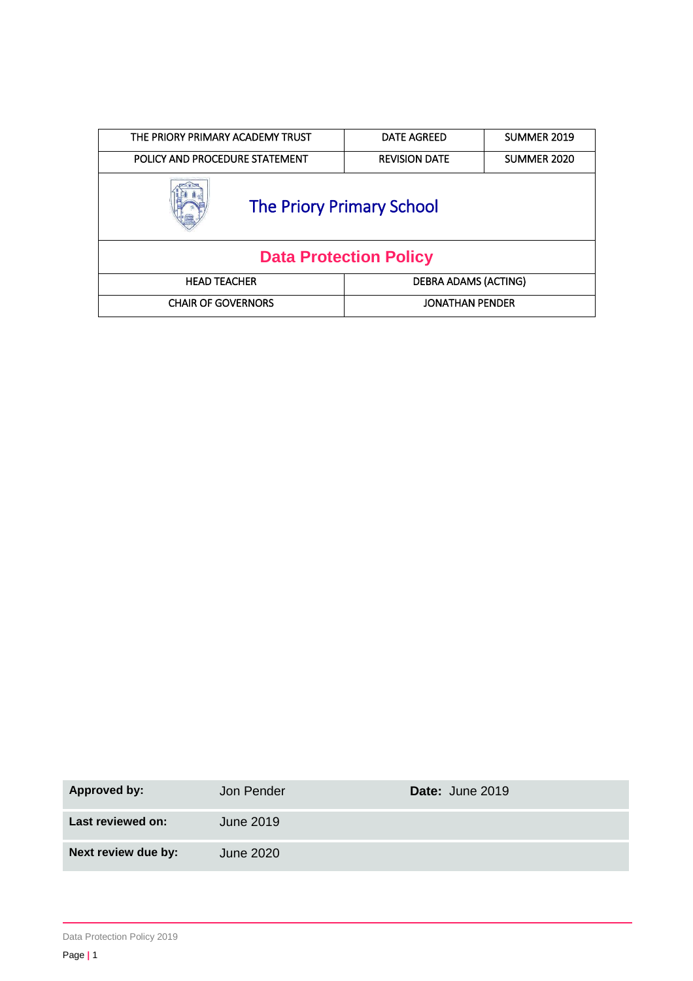| THE PRIORY PRIMARY ACADEMY TRUST | <b>DATE AGREED</b>     | SUMMER 2019 |  |  |
|----------------------------------|------------------------|-------------|--|--|
| POLICY AND PROCEDURE STATEMENT   | <b>REVISION DATE</b>   | SUMMER 2020 |  |  |
| <b>The Priory Primary School</b> |                        |             |  |  |
| <b>Data Protection Policy</b>    |                        |             |  |  |
| <b>HEAD TEACHER</b>              | DEBRA ADAMS (ACTING)   |             |  |  |
| <b>CHAIR OF GOVERNORS</b>        | <b>JONATHAN PENDER</b> |             |  |  |

| Approved by:        | Jon Pender | Date: June 2019 |
|---------------------|------------|-----------------|
| Last reviewed on:   | June 2019  |                 |
| Next review due by: | June 2020  |                 |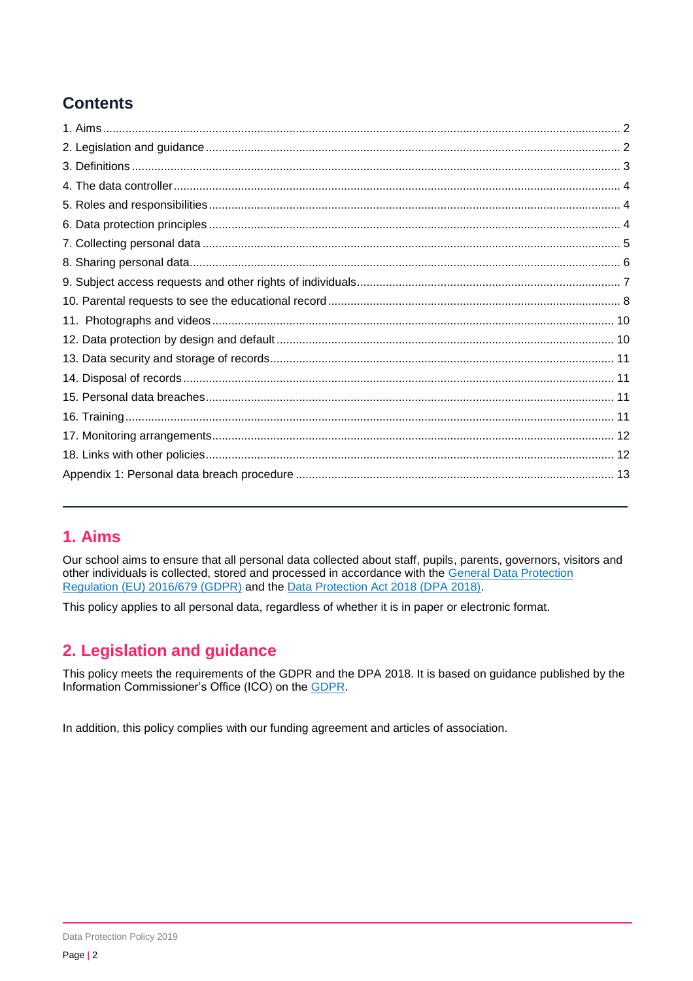# **Contents**

# <span id="page-1-0"></span>**1. Aims**

Our school aims to ensure that all personal data collected about staff, pupils, parents, governors, visitors and other individuals is collected, stored and processed in accordance with the [General Data Protection](https://eur-lex.europa.eu/legal-content/EN/TXT/?qid=1528874672298&uri=CELEX:02016R0679-20160504)  Regulation [\(EU\) 2016/679](https://eur-lex.europa.eu/legal-content/EN/TXT/?qid=1528874672298&uri=CELEX:02016R0679-20160504) (GDPR) and the [Data Protection Act 2018 \(DPA 2018\).](http://www.legislation.gov.uk/ukpga/2018/12/contents/enacted)

This policy applies to all personal data, regardless of whether it is in paper or electronic format.

## <span id="page-1-1"></span>**2. Legislation and guidance**

This policy meets the requirements of the GDPR and the DPA 2018. It is based on guidance published by the Information Commissioner's Office (ICO) on the [GDPR.](https://ico.org.uk/for-organisations/guide-to-the-general-data-protection-regulation-gdpr/)

In addition, this policy complies with our funding agreement and articles of association.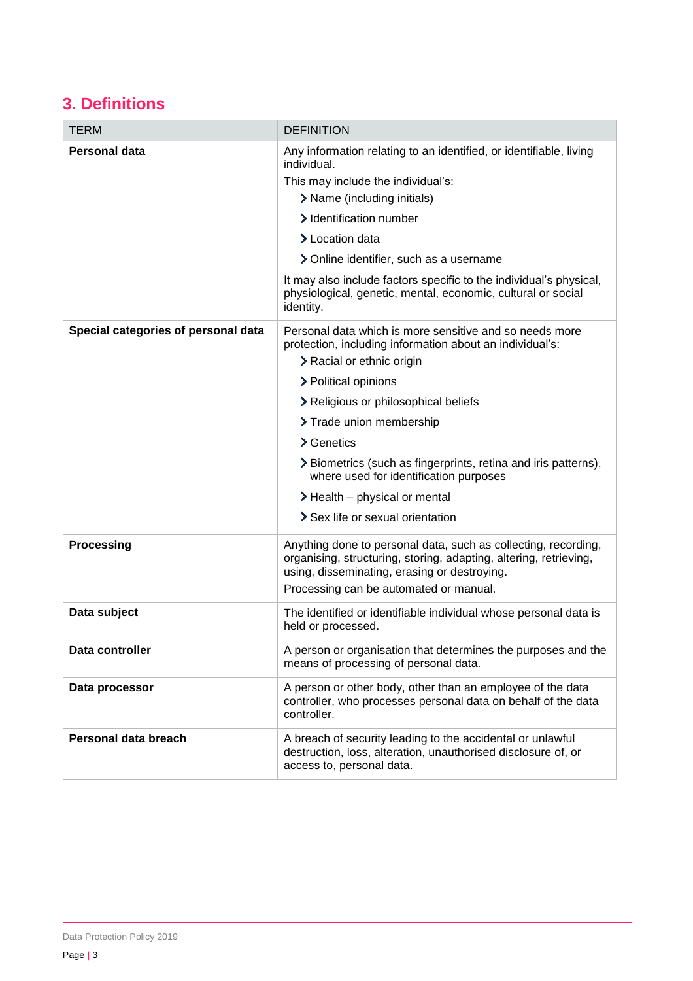# <span id="page-2-0"></span>**3. Definitions**

| <b>TERM</b>                         | <b>DEFINITION</b>                                                                                                                                                                                                                                                                                                                                                                                                                                             |
|-------------------------------------|---------------------------------------------------------------------------------------------------------------------------------------------------------------------------------------------------------------------------------------------------------------------------------------------------------------------------------------------------------------------------------------------------------------------------------------------------------------|
| Personal data                       | Any information relating to an identified, or identifiable, living<br>individual.<br>This may include the individual's:<br>> Name (including initials)<br>> Identification number<br>> Location data<br>> Online identifier, such as a username<br>It may also include factors specific to the individual's physical,<br>physiological, genetic, mental, economic, cultural or social<br>identity.                                                            |
| Special categories of personal data | Personal data which is more sensitive and so needs more<br>protection, including information about an individual's:<br>> Racial or ethnic origin<br>> Political opinions<br>> Religious or philosophical beliefs<br>> Trade union membership<br>> Genetics<br>> Biometrics (such as fingerprints, retina and iris patterns),<br>where used for identification purposes<br>$\blacktriangleright$ Health – physical or mental<br>Sex life or sexual orientation |
| <b>Processing</b>                   | Anything done to personal data, such as collecting, recording,<br>organising, structuring, storing, adapting, altering, retrieving,<br>using, disseminating, erasing or destroying.<br>Processing can be automated or manual.                                                                                                                                                                                                                                 |
| Data subject                        | The identified or identifiable individual whose personal data is<br>held or processed.                                                                                                                                                                                                                                                                                                                                                                        |
| Data controller                     | A person or organisation that determines the purposes and the<br>means of processing of personal data.                                                                                                                                                                                                                                                                                                                                                        |
| Data processor                      | A person or other body, other than an employee of the data<br>controller, who processes personal data on behalf of the data<br>controller.                                                                                                                                                                                                                                                                                                                    |
| Personal data breach                | A breach of security leading to the accidental or unlawful<br>destruction, loss, alteration, unauthorised disclosure of, or<br>access to, personal data.                                                                                                                                                                                                                                                                                                      |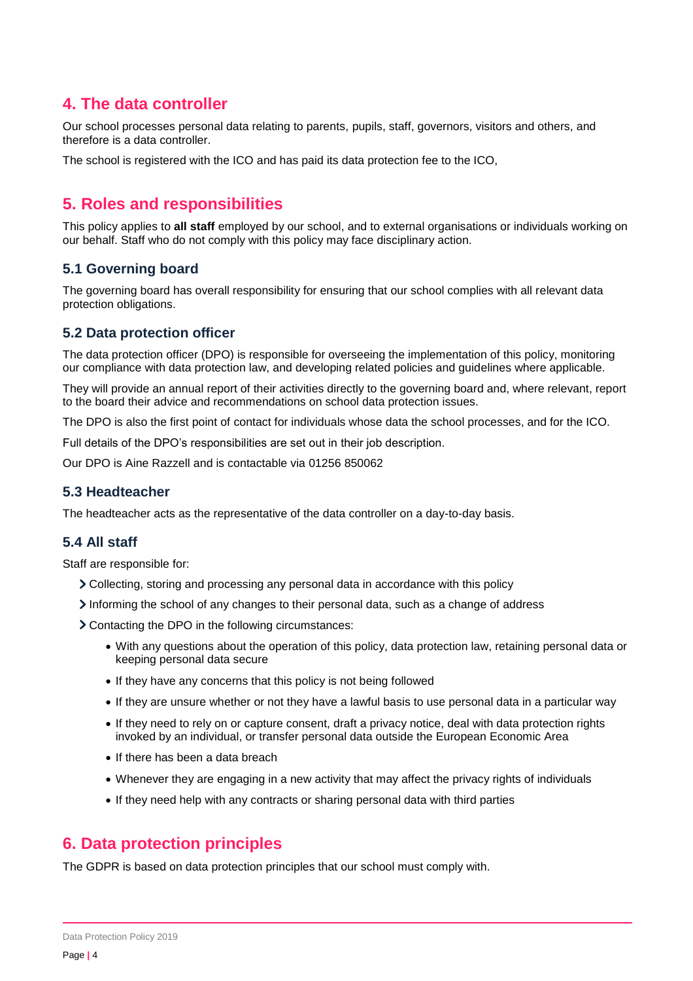### <span id="page-3-0"></span>**4. The data controller**

Our school processes personal data relating to parents, pupils, staff, governors, visitors and others, and therefore is a data controller.

The school is registered with the ICO and has paid its data protection fee to the ICO,

## <span id="page-3-1"></span>**5. Roles and responsibilities**

This policy applies to **all staff** employed by our school, and to external organisations or individuals working on our behalf. Staff who do not comply with this policy may face disciplinary action.

#### **5.1 Governing board**

The governing board has overall responsibility for ensuring that our school complies with all relevant data protection obligations.

### **5.2 Data protection officer**

The data protection officer (DPO) is responsible for overseeing the implementation of this policy, monitoring our compliance with data protection law, and developing related policies and guidelines where applicable.

They will provide an annual report of their activities directly to the governing board and, where relevant, report to the board their advice and recommendations on school data protection issues.

The DPO is also the first point of contact for individuals whose data the school processes, and for the ICO.

Full details of the DPO's responsibilities are set out in their job description.

Our DPO is Aine Razzell and is contactable via 01256 850062

#### **5.3 Headteacher**

The headteacher acts as the representative of the data controller on a day-to-day basis.

#### **5.4 All staff**

Staff are responsible for:

- Collecting, storing and processing any personal data in accordance with this policy
- Informing the school of any changes to their personal data, such as a change of address
- Contacting the DPO in the following circumstances:
	- With any questions about the operation of this policy, data protection law, retaining personal data or keeping personal data secure
	- If they have any concerns that this policy is not being followed
	- If they are unsure whether or not they have a lawful basis to use personal data in a particular way
	- If they need to rely on or capture consent, draft a privacy notice, deal with data protection rights invoked by an individual, or transfer personal data outside the European Economic Area
	- If there has been a data breach
	- Whenever they are engaging in a new activity that may affect the privacy rights of individuals
	- If they need help with any contracts or sharing personal data with third parties

### <span id="page-3-2"></span>**6. Data protection principles**

The GDPR is based on data protection principles that our school must comply with.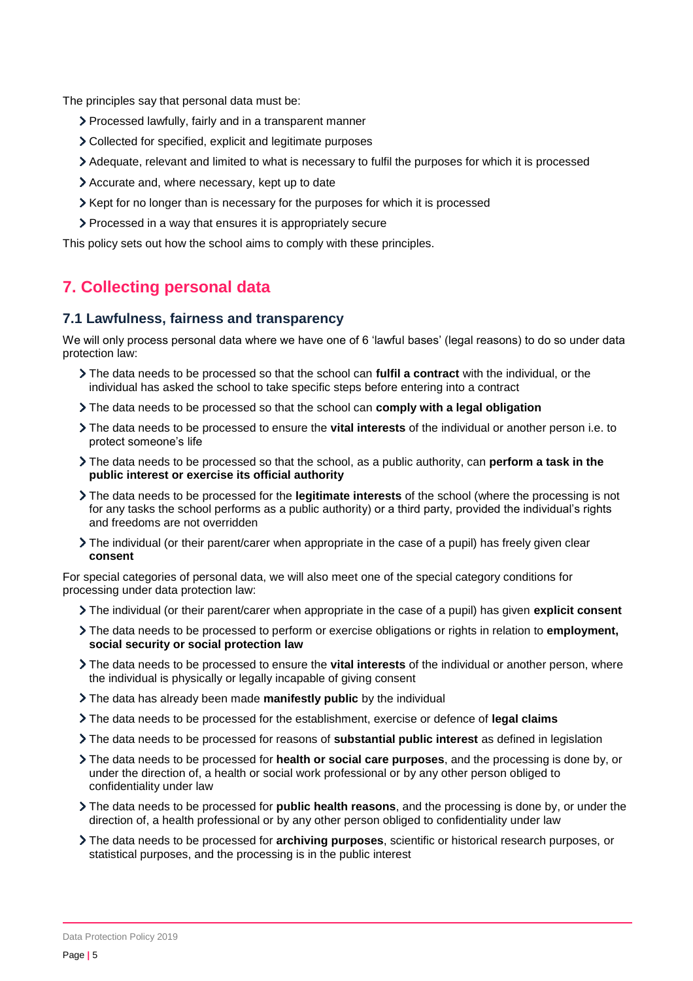The principles say that personal data must be:

- Processed lawfully, fairly and in a transparent manner
- Collected for specified, explicit and legitimate purposes
- Adequate, relevant and limited to what is necessary to fulfil the purposes for which it is processed
- Accurate and, where necessary, kept up to date
- $\geq$  Kept for no longer than is necessary for the purposes for which it is processed
- Processed in a way that ensures it is appropriately secure

This policy sets out how the school aims to comply with these principles.

## <span id="page-4-0"></span>**7. Collecting personal data**

#### **7.1 Lawfulness, fairness and transparency**

We will only process personal data where we have one of 6 'lawful bases' (legal reasons) to do so under data protection law:

- The data needs to be processed so that the school can **fulfil a contract** with the individual, or the individual has asked the school to take specific steps before entering into a contract
- The data needs to be processed so that the school can **comply with a legal obligation**
- The data needs to be processed to ensure the **vital interests** of the individual or another person i.e. to protect someone's life
- The data needs to be processed so that the school, as a public authority, can **perform a task in the public interest or exercise its official authority**
- The data needs to be processed for the **legitimate interests** of the school (where the processing is not for any tasks the school performs as a public authority) or a third party, provided the individual's rights and freedoms are not overridden
- The individual (or their parent/carer when appropriate in the case of a pupil) has freely given clear **consent**

For special categories of personal data, we will also meet one of the special category conditions for processing under data protection law:

- The individual (or their parent/carer when appropriate in the case of a pupil) has given **explicit consent**
- The data needs to be processed to perform or exercise obligations or rights in relation to **employment, social security or social protection law**
- The data needs to be processed to ensure the **vital interests** of the individual or another person, where the individual is physically or legally incapable of giving consent
- The data has already been made **manifestly public** by the individual
- The data needs to be processed for the establishment, exercise or defence of **legal claims**
- The data needs to be processed for reasons of **substantial public interest** as defined in legislation
- The data needs to be processed for **health or social care purposes**, and the processing is done by, or under the direction of, a health or social work professional or by any other person obliged to confidentiality under law
- The data needs to be processed for **public health reasons**, and the processing is done by, or under the direction of, a health professional or by any other person obliged to confidentiality under law
- The data needs to be processed for **archiving purposes**, scientific or historical research purposes, or statistical purposes, and the processing is in the public interest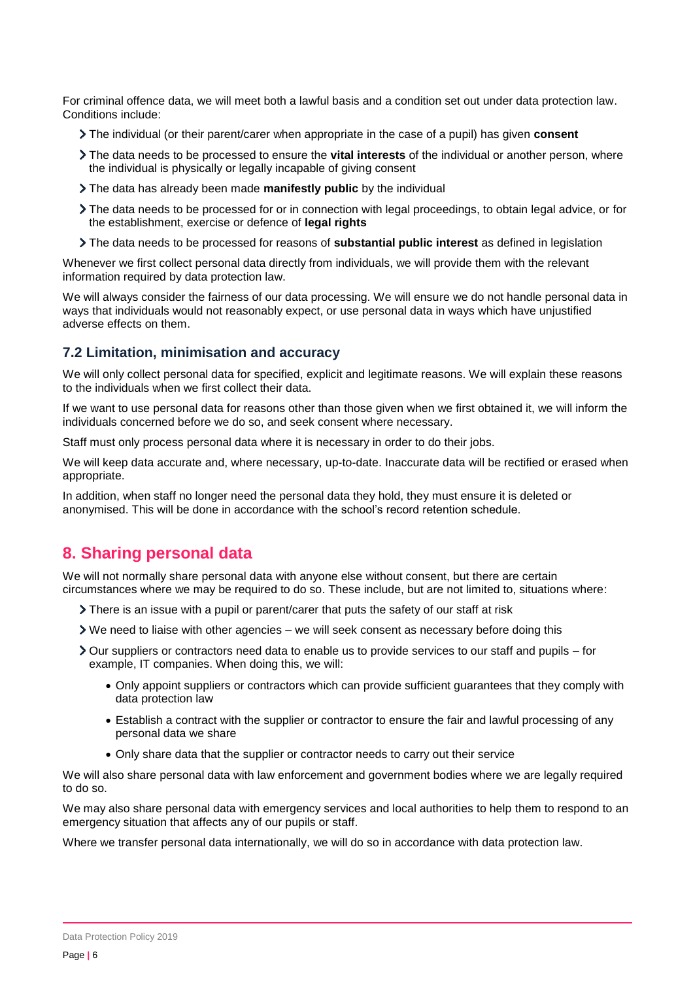For criminal offence data, we will meet both a lawful basis and a condition set out under data protection law. Conditions include:

- The individual (or their parent/carer when appropriate in the case of a pupil) has given **consent**
- The data needs to be processed to ensure the **vital interests** of the individual or another person, where the individual is physically or legally incapable of giving consent
- The data has already been made **manifestly public** by the individual
- The data needs to be processed for or in connection with legal proceedings, to obtain legal advice, or for the establishment, exercise or defence of **legal rights**
- The data needs to be processed for reasons of **substantial public interest** as defined in legislation

Whenever we first collect personal data directly from individuals, we will provide them with the relevant information required by data protection law.

We will always consider the fairness of our data processing. We will ensure we do not handle personal data in ways that individuals would not reasonably expect, or use personal data in ways which have unjustified adverse effects on them.

#### **7.2 Limitation, minimisation and accuracy**

We will only collect personal data for specified, explicit and legitimate reasons. We will explain these reasons to the individuals when we first collect their data.

If we want to use personal data for reasons other than those given when we first obtained it, we will inform the individuals concerned before we do so, and seek consent where necessary.

Staff must only process personal data where it is necessary in order to do their jobs.

We will keep data accurate and, where necessary, up-to-date. Inaccurate data will be rectified or erased when appropriate.

In addition, when staff no longer need the personal data they hold, they must ensure it is deleted or anonymised. This will be done in accordance with the school's record retention schedule.

### <span id="page-5-0"></span>**8. Sharing personal data**

We will not normally share personal data with anyone else without consent, but there are certain circumstances where we may be required to do so. These include, but are not limited to, situations where:

- There is an issue with a pupil or parent/carer that puts the safety of our staff at risk
- We need to liaise with other agencies we will seek consent as necessary before doing this
- Our suppliers or contractors need data to enable us to provide services to our staff and pupils for example, IT companies. When doing this, we will:
	- Only appoint suppliers or contractors which can provide sufficient guarantees that they comply with data protection law
	- Establish a contract with the supplier or contractor to ensure the fair and lawful processing of any personal data we share
	- Only share data that the supplier or contractor needs to carry out their service

We will also share personal data with law enforcement and government bodies where we are legally required to do so.

We may also share personal data with emergency services and local authorities to help them to respond to an emergency situation that affects any of our pupils or staff.

Where we transfer personal data internationally, we will do so in accordance with data protection law.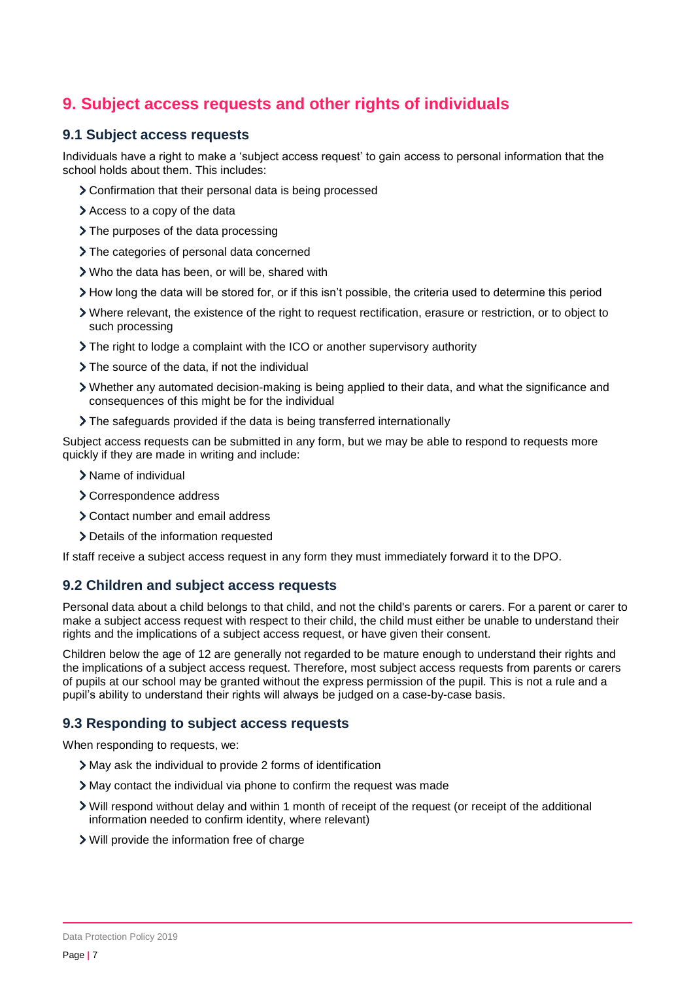## <span id="page-6-0"></span>**9. Subject access requests and other rights of individuals**

#### **9.1 Subject access requests**

Individuals have a right to make a 'subject access request' to gain access to personal information that the school holds about them. This includes:

- Confirmation that their personal data is being processed
- Access to a copy of the data
- > The purposes of the data processing
- > The categories of personal data concerned
- Who the data has been, or will be, shared with
- How long the data will be stored for, or if this isn't possible, the criteria used to determine this period
- Where relevant, the existence of the right to request rectification, erasure or restriction, or to object to such processing
- The right to lodge a complaint with the ICO or another supervisory authority
- > The source of the data, if not the individual
- Whether any automated decision-making is being applied to their data, and what the significance and consequences of this might be for the individual
- The safeguards provided if the data is being transferred internationally

Subject access requests can be submitted in any form, but we may be able to respond to requests more quickly if they are made in writing and include:

- > Name of individual
- > Correspondence address
- Contact number and email address
- > Details of the information requested

If staff receive a subject access request in any form they must immediately forward it to the DPO.

#### **9.2 Children and subject access requests**

Personal data about a child belongs to that child, and not the child's parents or carers. For a parent or carer to make a subject access request with respect to their child, the child must either be unable to understand their rights and the implications of a subject access request, or have given their consent.

Children below the age of 12 are generally not regarded to be mature enough to understand their rights and the implications of a subject access request. Therefore, most subject access requests from parents or carers of pupils at our school may be granted without the express permission of the pupil. This is not a rule and a pupil's ability to understand their rights will always be judged on a case-by-case basis.

#### **9.3 Responding to subject access requests**

When responding to requests, we:

- May ask the individual to provide 2 forms of identification
- May contact the individual via phone to confirm the request was made
- Will respond without delay and within 1 month of receipt of the request (or receipt of the additional information needed to confirm identity, where relevant)
- Will provide the information free of charge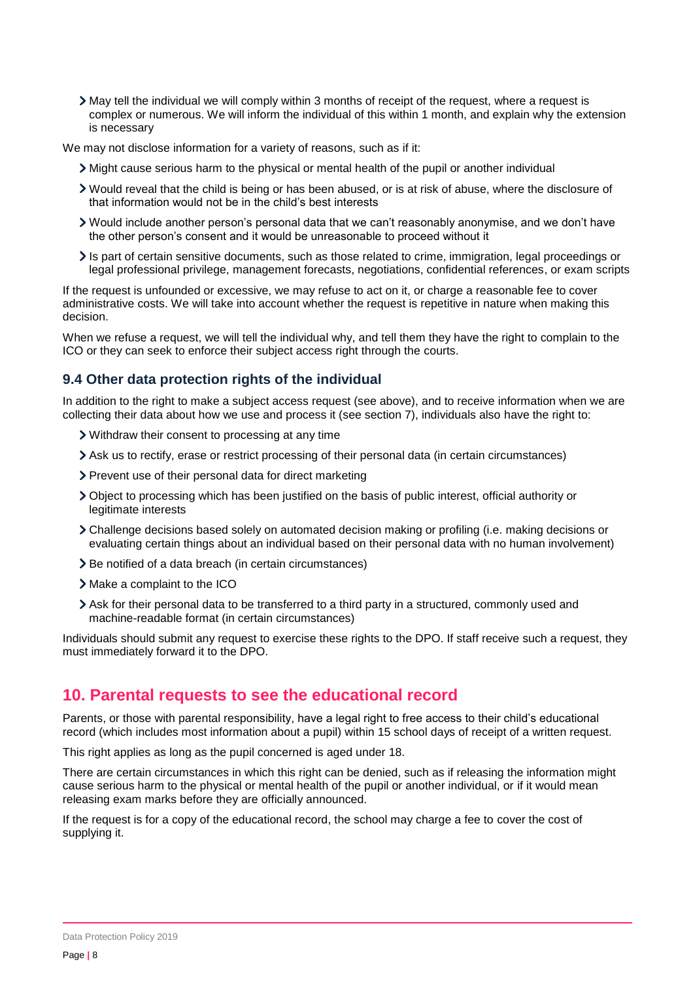May tell the individual we will comply within 3 months of receipt of the request, where a request is complex or numerous. We will inform the individual of this within 1 month, and explain why the extension is necessary

We may not disclose information for a variety of reasons, such as if it:

- Might cause serious harm to the physical or mental health of the pupil or another individual
- Would reveal that the child is being or has been abused, or is at risk of abuse, where the disclosure of that information would not be in the child's best interests
- Would include another person's personal data that we can't reasonably anonymise, and we don't have the other person's consent and it would be unreasonable to proceed without it
- Is part of certain sensitive documents, such as those related to crime, immigration, legal proceedings or legal professional privilege, management forecasts, negotiations, confidential references, or exam scripts

If the request is unfounded or excessive, we may refuse to act on it, or charge a reasonable fee to cover administrative costs. We will take into account whether the request is repetitive in nature when making this decision.

When we refuse a request, we will tell the individual why, and tell them they have the right to complain to the ICO or they can seek to enforce their subject access right through the courts.

### **9.4 Other data protection rights of the individual**

In addition to the right to make a subject access request (see above), and to receive information when we are collecting their data about how we use and process it (see section 7), individuals also have the right to:

- Withdraw their consent to processing at any time
- Ask us to rectify, erase or restrict processing of their personal data (in certain circumstances)
- > Prevent use of their personal data for direct marketing
- Object to processing which has been justified on the basis of public interest, official authority or legitimate interests
- Challenge decisions based solely on automated decision making or profiling (i.e. making decisions or evaluating certain things about an individual based on their personal data with no human involvement)
- > Be notified of a data breach (in certain circumstances)
- > Make a complaint to the ICO
- Ask for their personal data to be transferred to a third party in a structured, commonly used and machine-readable format (in certain circumstances)

Individuals should submit any request to exercise these rights to the DPO. If staff receive such a request, they must immediately forward it to the DPO.

### <span id="page-7-0"></span>**10. Parental requests to see the educational record**

Parents, or those with parental responsibility, have a legal right to free access to their child's educational record (which includes most information about a pupil) within 15 school days of receipt of a written request.

This right applies as long as the pupil concerned is aged under 18.

There are certain circumstances in which this right can be denied, such as if releasing the information might cause serious harm to the physical or mental health of the pupil or another individual, or if it would mean releasing exam marks before they are officially announced.

If the request is for a copy of the educational record, the school may charge a fee to cover the cost of supplying it.

Data Protection Policy 2019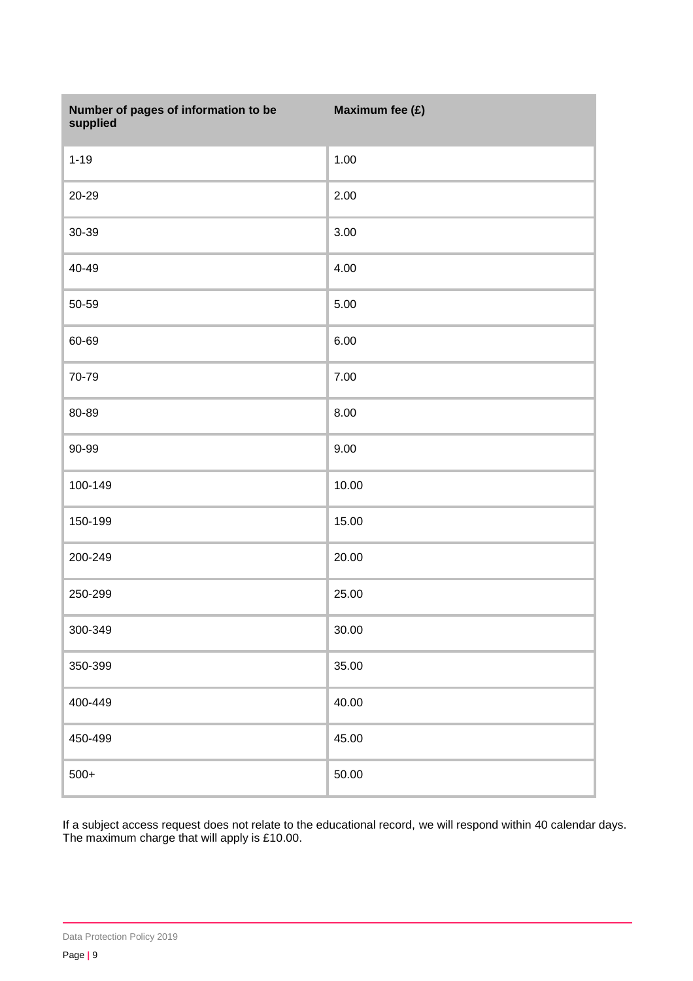| Number of pages of information to be<br>supplied | Maximum fee (£) |
|--------------------------------------------------|-----------------|
| $1 - 19$                                         | 1.00            |
| 20-29                                            | 2.00            |
| 30-39                                            | 3.00            |
| 40-49                                            | 4.00            |
| 50-59                                            | 5.00            |
| 60-69                                            | 6.00            |
| 70-79                                            | 7.00            |
| 80-89                                            | 8.00            |
| 90-99                                            | 9.00            |
| 100-149                                          | 10.00           |
| 150-199                                          | 15.00           |
| 200-249                                          | 20.00           |
| 250-299                                          | 25.00           |
| 300-349                                          | 30.00           |
| 350-399                                          | 35.00           |
| 400-449                                          | 40.00           |
| 450-499                                          | 45.00           |
| $500+$                                           | 50.00           |

If a subject access request does not relate to the educational record, we will respond within 40 calendar days. The maximum charge that will apply is £10.00.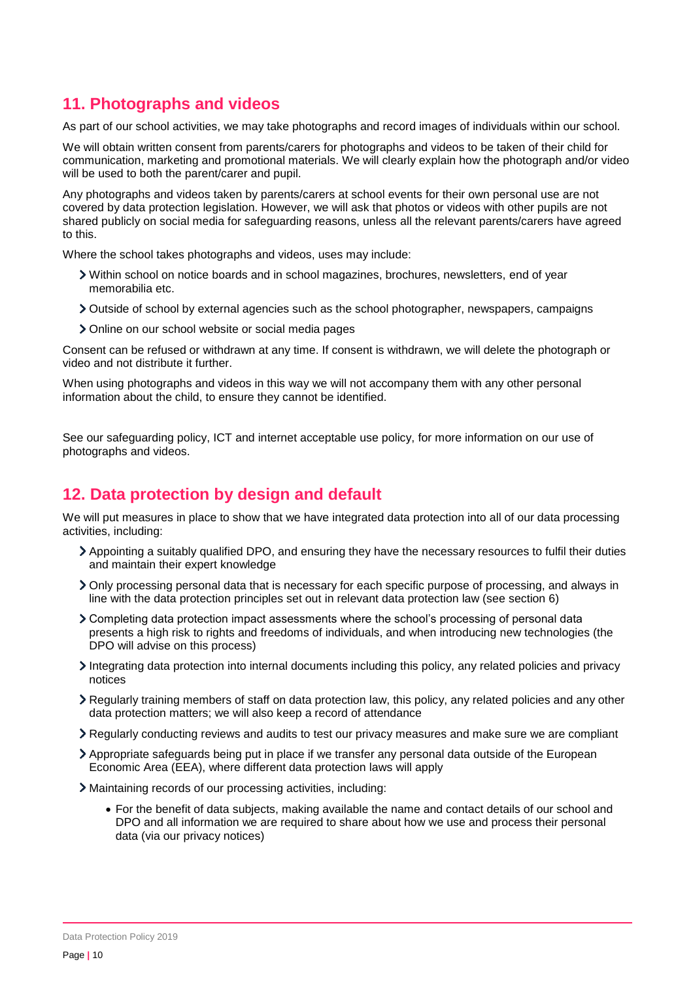### <span id="page-9-0"></span>**11. Photographs and videos**

As part of our school activities, we may take photographs and record images of individuals within our school.

We will obtain written consent from parents/carers for photographs and videos to be taken of their child for communication, marketing and promotional materials. We will clearly explain how the photograph and/or video will be used to both the parent/carer and pupil.

Any photographs and videos taken by parents/carers at school events for their own personal use are not covered by data protection legislation. However, we will ask that photos or videos with other pupils are not shared publicly on social media for safeguarding reasons, unless all the relevant parents/carers have agreed to this.

Where the school takes photographs and videos, uses may include:

- Within school on notice boards and in school magazines, brochures, newsletters, end of year memorabilia etc.
- Outside of school by external agencies such as the school photographer, newspapers, campaigns
- Online on our school website or social media pages

Consent can be refused or withdrawn at any time. If consent is withdrawn, we will delete the photograph or video and not distribute it further.

When using photographs and videos in this way we will not accompany them with any other personal information about the child, to ensure they cannot be identified.

See our safeguarding policy, ICT and internet acceptable use policy, for more information on our use of photographs and videos.

### <span id="page-9-1"></span>**12. Data protection by design and default**

We will put measures in place to show that we have integrated data protection into all of our data processing activities, including:

- Appointing a suitably qualified DPO, and ensuring they have the necessary resources to fulfil their duties and maintain their expert knowledge
- Only processing personal data that is necessary for each specific purpose of processing, and always in line with the data protection principles set out in relevant data protection law (see section 6)
- Completing data protection impact assessments where the school's processing of personal data presents a high risk to rights and freedoms of individuals, and when introducing new technologies (the DPO will advise on this process)
- Integrating data protection into internal documents including this policy, any related policies and privacy notices
- Regularly training members of staff on data protection law, this policy, any related policies and any other data protection matters; we will also keep a record of attendance
- Regularly conducting reviews and audits to test our privacy measures and make sure we are compliant
- Appropriate safeguards being put in place if we transfer any personal data outside of the European Economic Area (EEA), where different data protection laws will apply
- Maintaining records of our processing activities, including:
	- For the benefit of data subjects, making available the name and contact details of our school and DPO and all information we are required to share about how we use and process their personal data (via our privacy notices)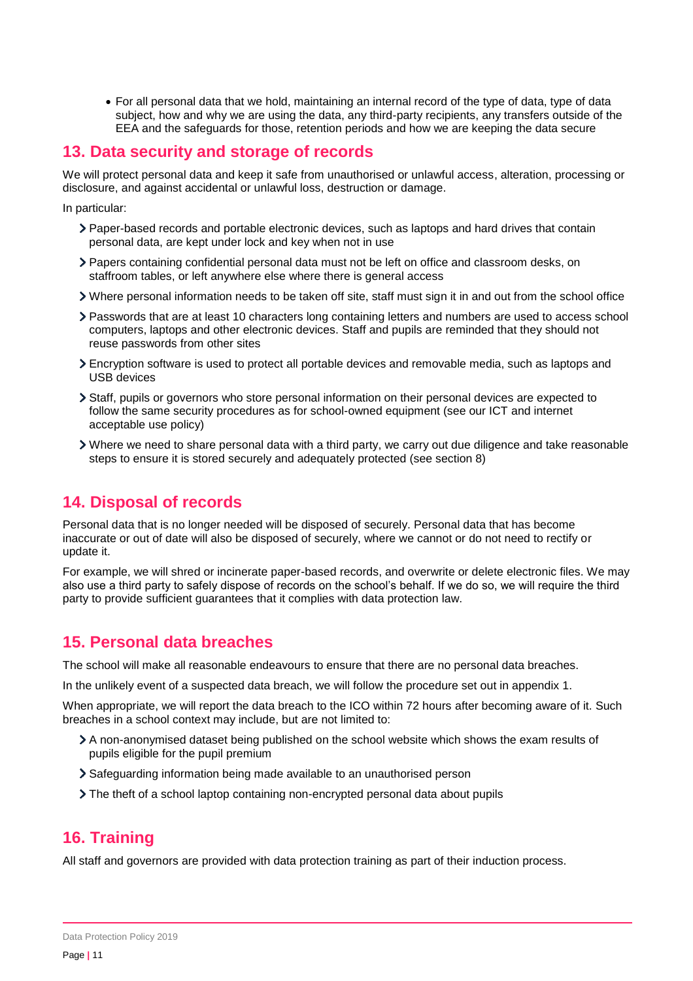For all personal data that we hold, maintaining an internal record of the type of data, type of data subject, how and why we are using the data, any third-party recipients, any transfers outside of the EEA and the safeguards for those, retention periods and how we are keeping the data secure

### <span id="page-10-0"></span>**13. Data security and storage of records**

We will protect personal data and keep it safe from unauthorised or unlawful access, alteration, processing or disclosure, and against accidental or unlawful loss, destruction or damage.

In particular:

- Paper-based records and portable electronic devices, such as laptops and hard drives that contain personal data, are kept under lock and key when not in use
- Papers containing confidential personal data must not be left on office and classroom desks, on staffroom tables, or left anywhere else where there is general access
- Where personal information needs to be taken off site, staff must sign it in and out from the school office
- Passwords that are at least 10 characters long containing letters and numbers are used to access school computers, laptops and other electronic devices. Staff and pupils are reminded that they should not reuse passwords from other sites
- Encryption software is used to protect all portable devices and removable media, such as laptops and USB devices
- Staff, pupils or governors who store personal information on their personal devices are expected to follow the same security procedures as for school-owned equipment (see our ICT and internet acceptable use policy)
- Where we need to share personal data with a third party, we carry out due diligence and take reasonable steps to ensure it is stored securely and adequately protected (see section 8)

## <span id="page-10-1"></span>**14. Disposal of records**

Personal data that is no longer needed will be disposed of securely. Personal data that has become inaccurate or out of date will also be disposed of securely, where we cannot or do not need to rectify or update it.

For example, we will shred or incinerate paper-based records, and overwrite or delete electronic files. We may also use a third party to safely dispose of records on the school's behalf. If we do so, we will require the third party to provide sufficient guarantees that it complies with data protection law.

### <span id="page-10-2"></span>**15. Personal data breaches**

The school will make all reasonable endeavours to ensure that there are no personal data breaches.

In the unlikely event of a suspected data breach, we will follow the procedure set out in appendix 1.

When appropriate, we will report the data breach to the ICO within 72 hours after becoming aware of it. Such breaches in a school context may include, but are not limited to:

- A non-anonymised dataset being published on the school website which shows the exam results of pupils eligible for the pupil premium
- Safeguarding information being made available to an unauthorised person
- The theft of a school laptop containing non-encrypted personal data about pupils

## <span id="page-10-3"></span>**16. Training**

All staff and governors are provided with data protection training as part of their induction process.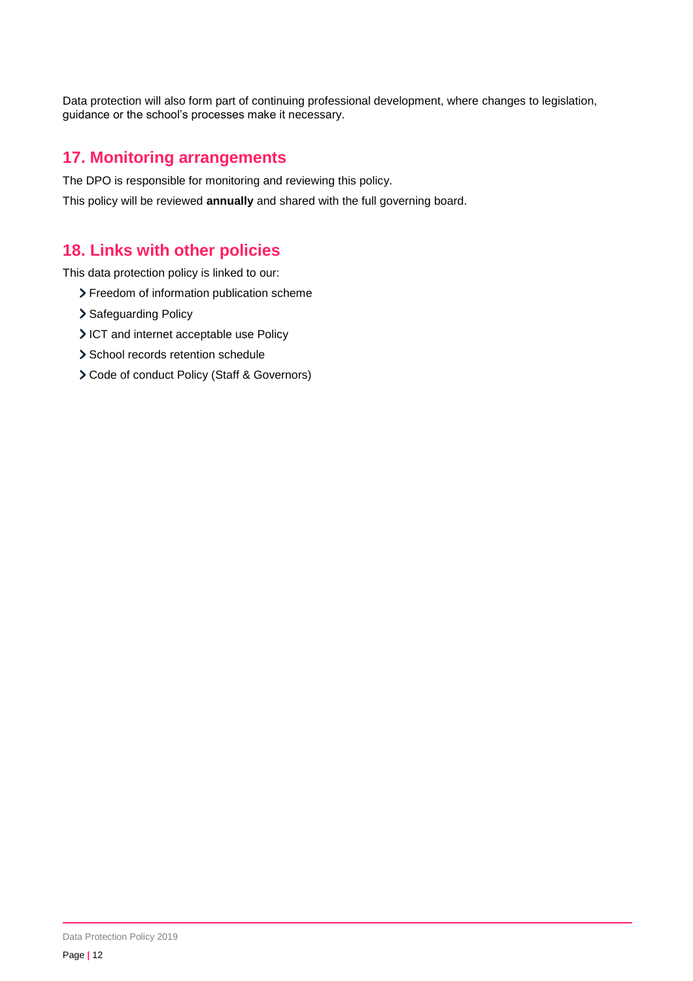Data protection will also form part of continuing professional development, where changes to legislation, guidance or the school's processes make it necessary.

### <span id="page-11-0"></span>**17. Monitoring arrangements**

The DPO is responsible for monitoring and reviewing this policy.

<span id="page-11-1"></span>This policy will be reviewed **annually** and shared with the full governing board.

### **18. Links with other policies**

This data protection policy is linked to our:

- > Freedom of information publication scheme
- > Safeguarding Policy
- ICT and internet acceptable use Policy
- > School records retention schedule
- Code of conduct Policy (Staff & Governors)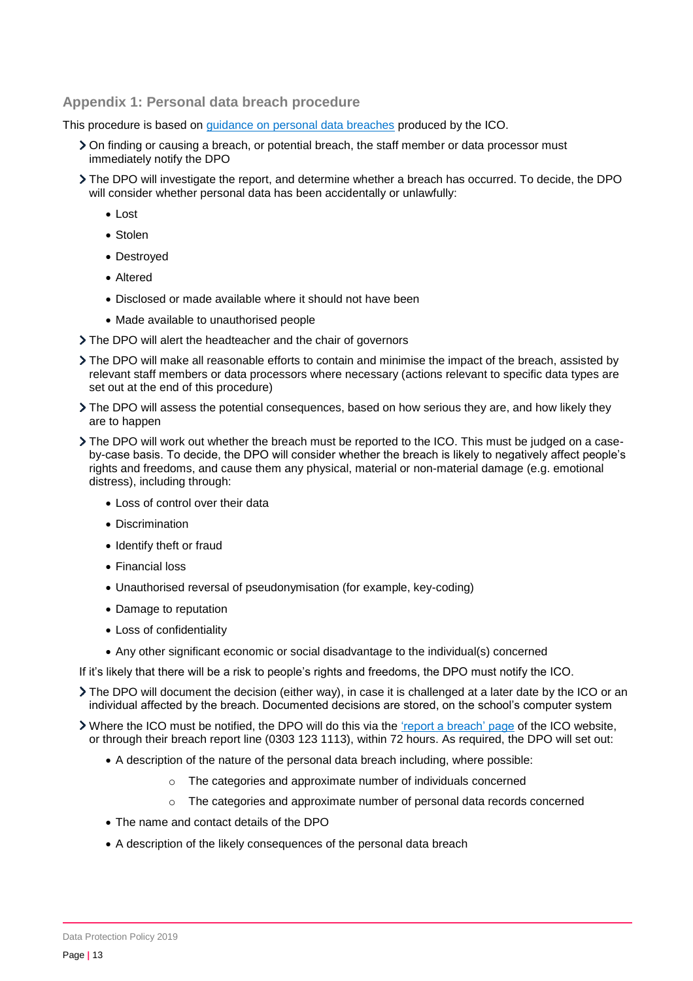#### <span id="page-12-0"></span>**Appendix 1: Personal data breach procedure**

This procedure is based on [guidance on personal data breaches](https://ico.org.uk/for-organisations/guide-to-the-general-data-protection-regulation-gdpr/personal-data-breaches/) produced by the ICO.

- On finding or causing a breach, or potential breach, the staff member or data processor must immediately notify the DPO
- The DPO will investigate the report, and determine whether a breach has occurred. To decide, the DPO will consider whether personal data has been accidentally or unlawfully:
	- Lost
	- Stolen
	- Destroyed
	- Altered
	- Disclosed or made available where it should not have been
	- Made available to unauthorised people
- The DPO will alert the headteacher and the chair of governors
- The DPO will make all reasonable efforts to contain and minimise the impact of the breach, assisted by relevant staff members or data processors where necessary (actions relevant to specific data types are set out at the end of this procedure)
- The DPO will assess the potential consequences, based on how serious they are, and how likely they are to happen
- The DPO will work out whether the breach must be reported to the ICO. This must be judged on a caseby-case basis. To decide, the DPO will consider whether the breach is likely to negatively affect people's rights and freedoms, and cause them any physical, material or non-material damage (e.g. emotional distress), including through:
	- Loss of control over their data
	- Discrimination
	- Identify theft or fraud
	- Financial loss
	- Unauthorised reversal of pseudonymisation (for example, key-coding)
	- Damage to reputation
	- Loss of confidentiality
	- Any other significant economic or social disadvantage to the individual(s) concerned
- If it's likely that there will be a risk to people's rights and freedoms, the DPO must notify the ICO.
- The DPO will document the decision (either way), in case it is challenged at a later date by the ICO or an individual affected by the breach. Documented decisions are stored, on the school's computer system
- If Where the ICO must be notified, the DPO will do this via the ['report a breach' page](https://ico.org.uk/for-organisations/report-a-breach/) of the ICO website, or through their breach report line (0303 123 1113), within 72 hours. As required, the DPO will set out:
	- A description of the nature of the personal data breach including, where possible:
		- o The categories and approximate number of individuals concerned
		- $\circ$  The categories and approximate number of personal data records concerned
	- The name and contact details of the DPO
	- A description of the likely consequences of the personal data breach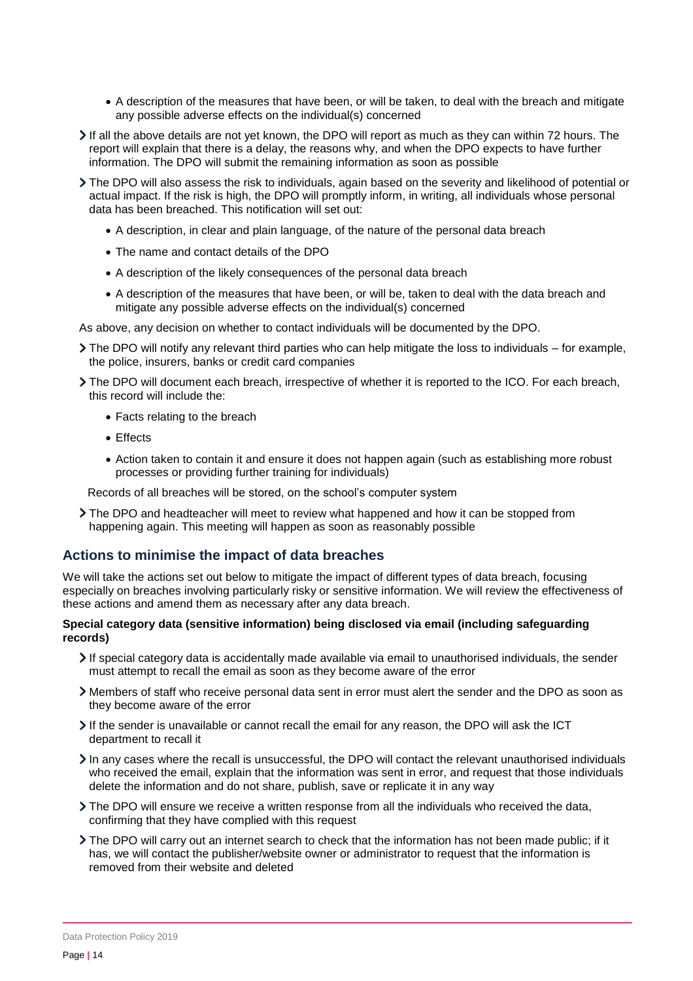- A description of the measures that have been, or will be taken, to deal with the breach and mitigate any possible adverse effects on the individual(s) concerned
- If all the above details are not yet known, the DPO will report as much as they can within 72 hours. The report will explain that there is a delay, the reasons why, and when the DPO expects to have further information. The DPO will submit the remaining information as soon as possible
- The DPO will also assess the risk to individuals, again based on the severity and likelihood of potential or actual impact. If the risk is high, the DPO will promptly inform, in writing, all individuals whose personal data has been breached. This notification will set out:
	- A description, in clear and plain language, of the nature of the personal data breach
	- The name and contact details of the DPO
	- A description of the likely consequences of the personal data breach
	- A description of the measures that have been, or will be, taken to deal with the data breach and mitigate any possible adverse effects on the individual(s) concerned

As above, any decision on whether to contact individuals will be documented by the DPO.

- $\triangleright$  The DPO will notify any relevant third parties who can help mitigate the loss to individuals for example, the police, insurers, banks or credit card companies
- The DPO will document each breach, irrespective of whether it is reported to the ICO. For each breach, this record will include the:
	- Facts relating to the breach
	- Effects
	- Action taken to contain it and ensure it does not happen again (such as establishing more robust processes or providing further training for individuals)

Records of all breaches will be stored, on the school's computer system

The DPO and headteacher will meet to review what happened and how it can be stopped from happening again. This meeting will happen as soon as reasonably possible

#### **Actions to minimise the impact of data breaches**

We will take the actions set out below to mitigate the impact of different types of data breach, focusing especially on breaches involving particularly risky or sensitive information. We will review the effectiveness of these actions and amend them as necessary after any data breach.

#### **Special category data (sensitive information) being disclosed via email (including safeguarding records)**

- If special category data is accidentally made available via email to unauthorised individuals, the sender must attempt to recall the email as soon as they become aware of the error
- Members of staff who receive personal data sent in error must alert the sender and the DPO as soon as they become aware of the error
- If the sender is unavailable or cannot recall the email for any reason, the DPO will ask the ICT department to recall it
- In any cases where the recall is unsuccessful, the DPO will contact the relevant unauthorised individuals who received the email, explain that the information was sent in error, and request that those individuals delete the information and do not share, publish, save or replicate it in any way
- The DPO will ensure we receive a written response from all the individuals who received the data, confirming that they have complied with this request
- The DPO will carry out an internet search to check that the information has not been made public; if it has, we will contact the publisher/website owner or administrator to request that the information is removed from their website and deleted